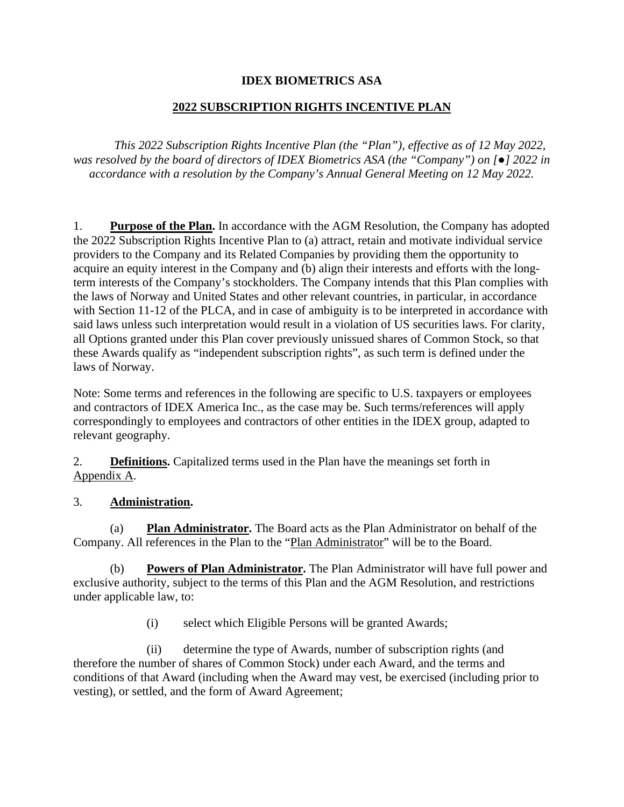#### **IDEX BIOMETRICS ASA**

### **2022 SUBSCRIPTION RIGHTS INCENTIVE PLAN**

*This 2022 Subscription Rights Incentive Plan (the "Plan"), effective as of 12 May 2022, was resolved by the board of directors of IDEX Biometrics ASA (the "Company") on [●] 2022 in accordance with a resolution by the Company's Annual General Meeting on 12 May 2022.*

1. **Purpose of the Plan.** In accordance with the AGM Resolution, the Company has adopted the 2022 Subscription Rights Incentive Plan to (a) attract, retain and motivate individual service providers to the Company and its Related Companies by providing them the opportunity to acquire an equity interest in the Company and (b) align their interests and efforts with the longterm interests of the Company's stockholders. The Company intends that this Plan complies with the laws of Norway and United States and other relevant countries, in particular, in accordance with Section 11-12 of the PLCA, and in case of ambiguity is to be interpreted in accordance with said laws unless such interpretation would result in a violation of US securities laws. For clarity, all Options granted under this Plan cover previously unissued shares of Common Stock, so that these Awards qualify as "independent subscription rights", as such term is defined under the laws of Norway.

Note: Some terms and references in the following are specific to U.S. taxpayers or employees and contractors of IDEX America Inc., as the case may be. Such terms/references will apply correspondingly to employees and contractors of other entities in the IDEX group, adapted to relevant geography.

2. **Definitions.** Capitalized terms used in the Plan have the meanings set forth in Appendix A.

#### 3. **Administration.**

<span id="page-0-0"></span>(a) **Plan Administrator.** The Board acts as the Plan Administrator on behalf of the Company. All references in the Plan to the "Plan Administrator" will be to the Board.

(b) **Powers of Plan Administrator.** The Plan Administrator will have full power and exclusive authority, subject to the terms of this Plan and the AGM Resolution, and restrictions under applicable law, to:

(i) select which Eligible Persons will be granted Awards;

(ii) determine the type of Awards, number of subscription rights (and therefore the number of shares of Common Stock) under each Award, and the terms and conditions of that Award (including when the Award may vest, be exercised (including prior to vesting), or settled, and the form of Award Agreement;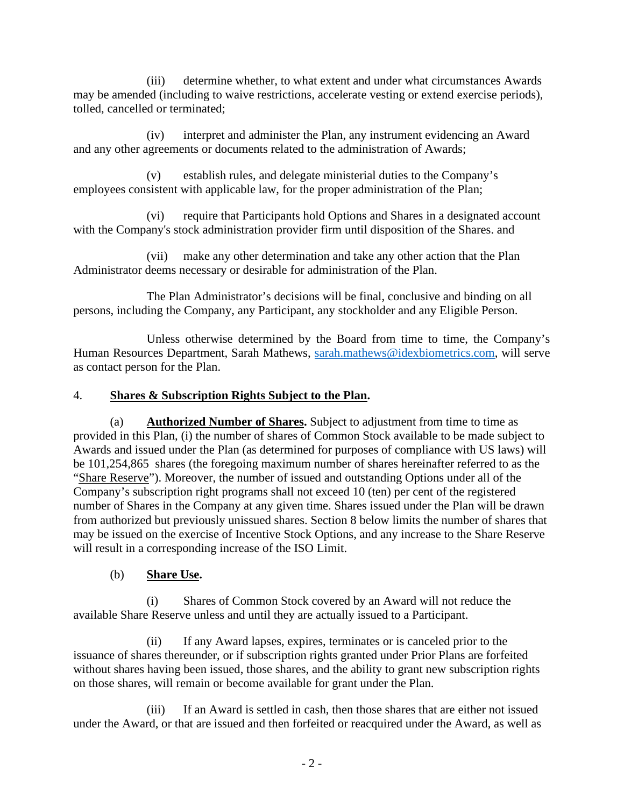(iii) determine whether, to what extent and under what circumstances Awards may be amended (including to waive restrictions, accelerate vesting or extend exercise periods), tolled, cancelled or terminated;

(iv) interpret and administer the Plan, any instrument evidencing an Award and any other agreements or documents related to the administration of Awards;

(v) establish rules, and delegate ministerial duties to the Company's employees consistent with applicable law, for the proper administration of the Plan;

(vi) require that Participants hold Options and Shares in a designated account with the Company's stock administration provider firm until disposition of the Shares. and

(vii) make any other determination and take any other action that the Plan Administrator deems necessary or desirable for administration of the Plan.

The Plan Administrator's decisions will be final, conclusive and binding on all persons, including the Company, any Participant, any stockholder and any Eligible Person.

Unless otherwise determined by the Board from time to time, the Company's Human Resources Department, Sarah Mathews, [sarah.mathews@idexbiometrics.com,](mailto:sarah.mathews@idexbiometrics.com) will serve as contact person for the Plan.

#### 4. **Shares & Subscription Rights Subject to the Plan.**

(a) **Authorized Number of Shares.** Subject to adjustment from time to time as provided in this Plan, (i) the number of shares of Common Stock available to be made subject to Awards and issued under the Plan (as determined for purposes of compliance with US laws) will be 101,254,865 shares (the foregoing maximum number of shares hereinafter referred to as the "Share Reserve"). Moreover, the number of issued and outstanding Options under all of the Company's subscription right programs shall not exceed 10 (ten) per cent of the registered number of Shares in the Company at any given time. Shares issued under the Plan will be drawn from authorized but previously unissued shares. Section 8 below limits the number of shares that may be issued on the exercise of Incentive Stock Options, and any increase to the Share Reserve will result in a corresponding increase of the ISO Limit.

(b) **Share Use.**

(i) Shares of Common Stock covered by an Award will not reduce the available Share Reserve unless and until they are actually issued to a Participant.

(ii) If any Award lapses, expires, terminates or is canceled prior to the issuance of shares thereunder, or if subscription rights granted under Prior Plans are forfeited without shares having been issued, those shares, and the ability to grant new subscription rights on those shares, will remain or become available for grant under the Plan.

(iii) If an Award is settled in cash, then those shares that are either not issued under the Award, or that are issued and then forfeited or reacquired under the Award, as well as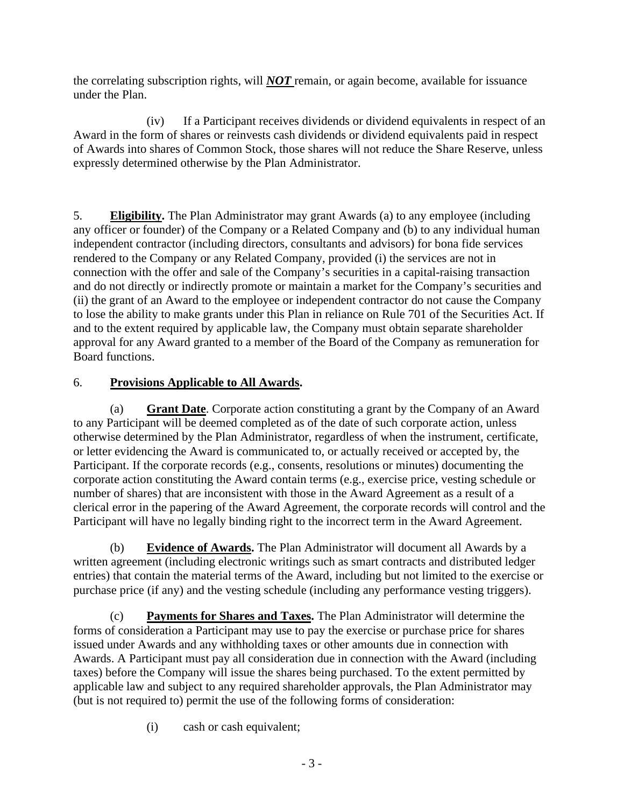the correlating subscription rights, will *NOT* remain, or again become, available for issuance under the Plan.

(iv) If a Participant receives dividends or dividend equivalents in respect of an Award in the form of shares or reinvests cash dividends or dividend equivalents paid in respect of Awards into shares of Common Stock, those shares will not reduce the Share Reserve, unless expressly determined otherwise by the Plan Administrator.

<span id="page-2-0"></span>5. **Eligibility.** The Plan Administrator may grant Awards (a) to any employee (including any officer or founder) of the Company or a Related Company and (b) to any individual human independent contractor (including directors, consultants and advisors) for bona fide services rendered to the Company or any Related Company, provided (i) the services are not in connection with the offer and sale of the Company's securities in a capital-raising transaction and do not directly or indirectly promote or maintain a market for the Company's securities and (ii) the grant of an Award to the employee or independent contractor do not cause the Company to lose the ability to make grants under this Plan in reliance on Rule 701 of the Securities Act. If and to the extent required by applicable law, the Company must obtain separate shareholder approval for any Award granted to a member of the Board of the Company as remuneration for Board functions.

# 6. **Provisions Applicable to All Awards.**

(a) **Grant Date**. Corporate action constituting a grant by the Company of an Award to any Participant will be deemed completed as of the date of such corporate action, unless otherwise determined by the Plan Administrator, regardless of when the instrument, certificate, or letter evidencing the Award is communicated to, or actually received or accepted by, the Participant. If the corporate records (e.g., consents, resolutions or minutes) documenting the corporate action constituting the Award contain terms (e.g., exercise price, vesting schedule or number of shares) that are inconsistent with those in the Award Agreement as a result of a clerical error in the papering of the Award Agreement, the corporate records will control and the Participant will have no legally binding right to the incorrect term in the Award Agreement.

(b) **Evidence of Awards.** The Plan Administrator will document all Awards by a written agreement (including electronic writings such as smart contracts and distributed ledger entries) that contain the material terms of the Award, including but not limited to the exercise or purchase price (if any) and the vesting schedule (including any performance vesting triggers).

(c) **Payments for Shares and Taxes.** The Plan Administrator will determine the forms of consideration a Participant may use to pay the exercise or purchase price for shares issued under Awards and any withholding taxes or other amounts due in connection with Awards. A Participant must pay all consideration due in connection with the Award (including taxes) before the Company will issue the shares being purchased. To the extent permitted by applicable law and subject to any required shareholder approvals, the Plan Administrator may (but is not required to) permit the use of the following forms of consideration:

(i) cash or cash equivalent;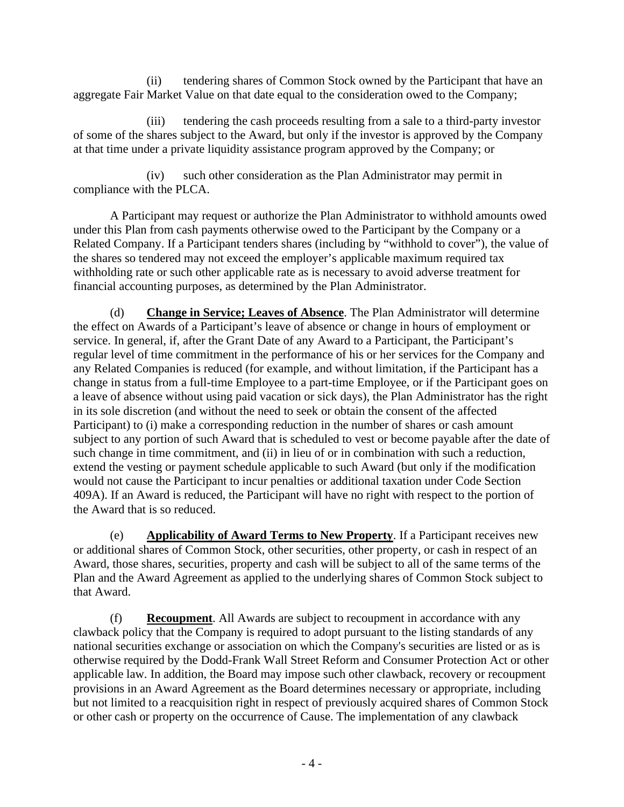(ii) tendering shares of Common Stock owned by the Participant that have an aggregate Fair Market Value on that date equal to the consideration owed to the Company;

(iii) tendering the cash proceeds resulting from a sale to a third-party investor of some of the shares subject to the Award, but only if the investor is approved by the Company at that time under a private liquidity assistance program approved by the Company; or

(iv) such other consideration as the Plan Administrator may permit in compliance with the PLCA.

A Participant may request or authorize the Plan Administrator to withhold amounts owed under this Plan from cash payments otherwise owed to the Participant by the Company or a Related Company. If a Participant tenders shares (including by "withhold to cover"), the value of the shares so tendered may not exceed the employer's applicable maximum required tax withholding rate or such other applicable rate as is necessary to avoid adverse treatment for financial accounting purposes, as determined by the Plan Administrator.

(d) **Change in Service; Leaves of Absence**. The Plan Administrator will determine the effect on Awards of a Participant's leave of absence or change in hours of employment or service. In general, if, after the Grant Date of any Award to a Participant, the Participant's regular level of time commitment in the performance of his or her services for the Company and any Related Companies is reduced (for example, and without limitation, if the Participant has a change in status from a full-time Employee to a part-time Employee, or if the Participant goes on a leave of absence without using paid vacation or sick days), the Plan Administrator has the right in its sole discretion (and without the need to seek or obtain the consent of the affected Participant) to (i) make a corresponding reduction in the number of shares or cash amount subject to any portion of such Award that is scheduled to vest or become payable after the date of such change in time commitment, and (ii) in lieu of or in combination with such a reduction, extend the vesting or payment schedule applicable to such Award (but only if the modification would not cause the Participant to incur penalties or additional taxation under Code Section 409A). If an Award is reduced, the Participant will have no right with respect to the portion of the Award that is so reduced.

(e) **Applicability of Award Terms to New Property**. If a Participant receives new or additional shares of Common Stock, other securities, other property, or cash in respect of an Award, those shares, securities, property and cash will be subject to all of the same terms of the Plan and the Award Agreement as applied to the underlying shares of Common Stock subject to that Award.

(f) **Recoupment**. All Awards are subject to recoupment in accordance with any clawback policy that the Company is required to adopt pursuant to the listing standards of any national securities exchange or association on which the Company's securities are listed or as is otherwise required by the Dodd-Frank Wall Street Reform and Consumer Protection Act or other applicable law. In addition, the Board may impose such other clawback, recovery or recoupment provisions in an Award Agreement as the Board determines necessary or appropriate, including but not limited to a reacquisition right in respect of previously acquired shares of Common Stock or other cash or property on the occurrence of Cause. The implementation of any clawback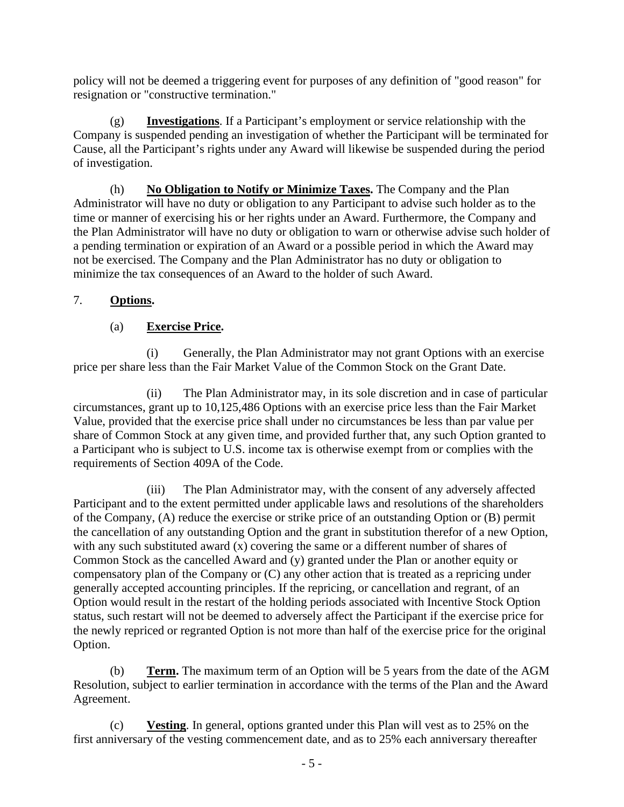policy will not be deemed a triggering event for purposes of any definition of "good reason" for resignation or "constructive termination."

(g) **Investigations**. If a Participant's employment or service relationship with the Company is suspended pending an investigation of whether the Participant will be terminated for Cause, all the Participant's rights under any Award will likewise be suspended during the period of investigation.

(h) **No Obligation to Notify or Minimize Taxes.** The Company and the Plan Administrator will have no duty or obligation to any Participant to advise such holder as to the time or manner of exercising his or her rights under an Award. Furthermore, the Company and the Plan Administrator will have no duty or obligation to warn or otherwise advise such holder of a pending termination or expiration of an Award or a possible period in which the Award may not be exercised. The Company and the Plan Administrator has no duty or obligation to minimize the tax consequences of an Award to the holder of such Award.

### <span id="page-4-0"></span>7. **Options.**

### (a) **Exercise Price.**

(i) Generally, the Plan Administrator may not grant Options with an exercise price per share less than the Fair Market Value of the Common Stock on the Grant Date.

(ii) The Plan Administrator may, in its sole discretion and in case of particular circumstances, grant up to 10,125,486 Options with an exercise price less than the Fair Market Value, provided that the exercise price shall under no circumstances be less than par value per share of Common Stock at any given time, and provided further that, any such Option granted to a Participant who is subject to U.S. income tax is otherwise exempt from or complies with the requirements of Section 409A of the Code.

(iii) The Plan Administrator may, with the consent of any adversely affected Participant and to the extent permitted under applicable laws and resolutions of the shareholders of the Company, (A) reduce the exercise or strike price of an outstanding Option or (B) permit the cancellation of any outstanding Option and the grant in substitution therefor of a new Option, with any such substituted award (x) covering the same or a different number of shares of Common Stock as the cancelled Award and (y) granted under the Plan or another equity or compensatory plan of the Company or (C) any other action that is treated as a repricing under generally accepted accounting principles. If the repricing, or cancellation and regrant, of an Option would result in the restart of the holding periods associated with Incentive Stock Option status, such restart will not be deemed to adversely affect the Participant if the exercise price for the newly repriced or regranted Option is not more than half of the exercise price for the original Option.

<span id="page-4-1"></span>(b) **Term.** The maximum term of an Option will be 5 years from the date of the AGM Resolution, subject to earlier termination in accordance with the terms of the Plan and the Award Agreement.

(c) **Vesting**. In general, options granted under this Plan will vest as to 25% on the first anniversary of the vesting commencement date, and as to 25% each anniversary thereafter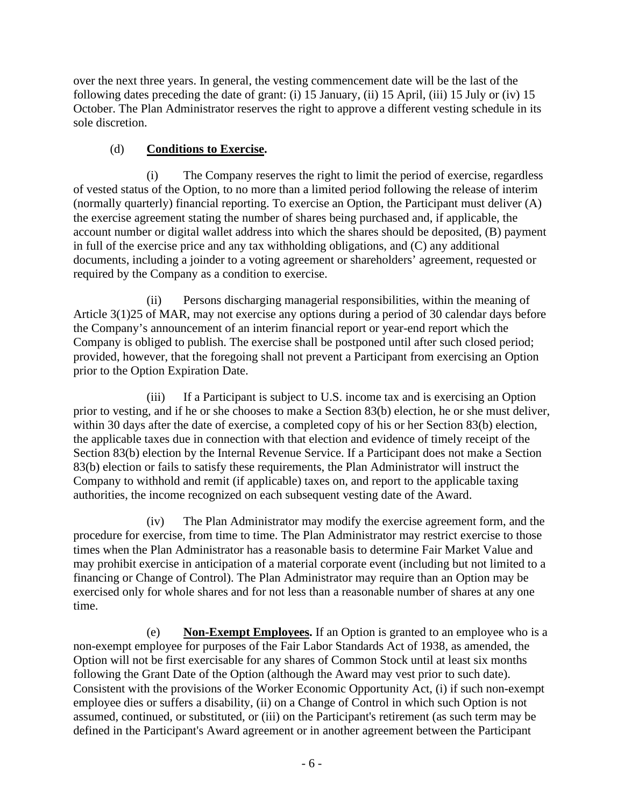over the next three years. In general, the vesting commencement date will be the last of the following dates preceding the date of grant: (i) 15 January, (ii) 15 April, (iii) 15 July or (iv) 15 October. The Plan Administrator reserves the right to approve a different vesting schedule in its sole discretion.

### (d) **Conditions to Exercise.**

(i) The Company reserves the right to limit the period of exercise, regardless of vested status of the Option, to no more than a limited period following the release of interim (normally quarterly) financial reporting. To exercise an Option, the Participant must deliver (A) the exercise agreement stating the number of shares being purchased and, if applicable, the account number or digital wallet address into which the shares should be deposited, (B) payment in full of the exercise price and any tax withholding obligations, and (C) any additional documents, including a joinder to a voting agreement or shareholders' agreement, requested or required by the Company as a condition to exercise.

(ii) Persons discharging managerial responsibilities, within the meaning of Article 3(1)25 of MAR, may not exercise any options during a period of 30 calendar days before the Company's announcement of an interim financial report or year-end report which the Company is obliged to publish. The exercise shall be postponed until after such closed period; provided, however, that the foregoing shall not prevent a Participant from exercising an Option prior to the Option Expiration Date.

(iii) If a Participant is subject to U.S. income tax and is exercising an Option prior to vesting, and if he or she chooses to make a Section 83(b) election, he or she must deliver, within 30 days after the date of exercise, a completed copy of his or her Section 83(b) election, the applicable taxes due in connection with that election and evidence of timely receipt of the Section 83(b) election by the Internal Revenue Service. If a Participant does not make a Section 83(b) election or fails to satisfy these requirements, the Plan Administrator will instruct the Company to withhold and remit (if applicable) taxes on, and report to the applicable taxing authorities, the income recognized on each subsequent vesting date of the Award.

(iv) The Plan Administrator may modify the exercise agreement form, and the procedure for exercise, from time to time. The Plan Administrator may restrict exercise to those times when the Plan Administrator has a reasonable basis to determine Fair Market Value and may prohibit exercise in anticipation of a material corporate event (including but not limited to a financing or Change of Control). The Plan Administrator may require than an Option may be exercised only for whole shares and for not less than a reasonable number of shares at any one time.

(e) **Non-Exempt Employees.** If an Option is granted to an employee who is a non-exempt employee for purposes of the Fair Labor Standards Act of 1938, as amended, the Option will not be first exercisable for any shares of Common Stock until at least six months following the Grant Date of the Option (although the Award may vest prior to such date). Consistent with the provisions of the Worker Economic Opportunity Act, (i) if such non-exempt employee dies or suffers a disability, (ii) on a Change of Control in which such Option is not assumed, continued, or substituted, or (iii) on the Participant's retirement (as such term may be defined in the Participant's Award agreement or in another agreement between the Participant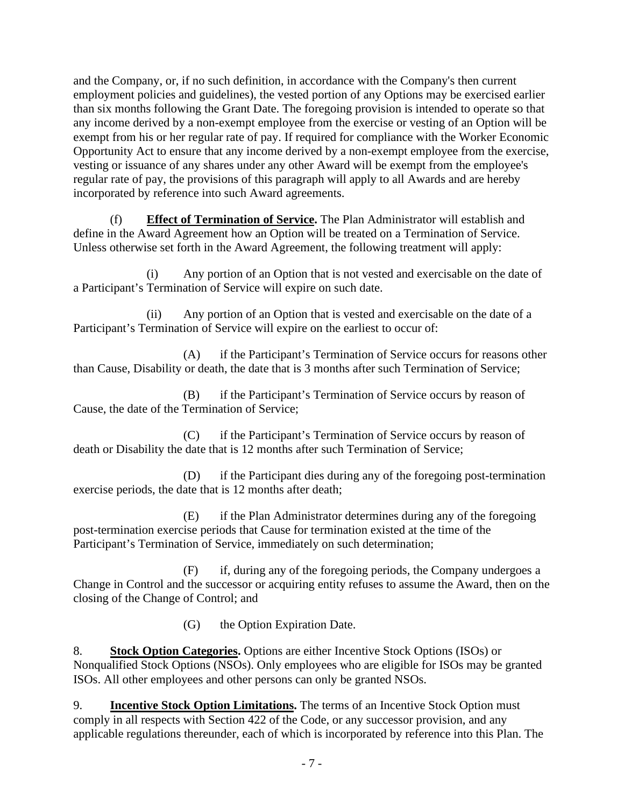and the Company, or, if no such definition, in accordance with the Company's then current employment policies and guidelines), the vested portion of any Options may be exercised earlier than six months following the Grant Date. The foregoing provision is intended to operate so that any income derived by a non-exempt employee from the exercise or vesting of an Option will be exempt from his or her regular rate of pay. If required for compliance with the Worker Economic Opportunity Act to ensure that any income derived by a non-exempt employee from the exercise, vesting or issuance of any shares under any other Award will be exempt from the employee's regular rate of pay, the provisions of this paragraph will apply to all Awards and are hereby incorporated by reference into such Award agreements.

(f) **Effect of Termination of Service.** The Plan Administrator will establish and define in the Award Agreement how an Option will be treated on a Termination of Service. Unless otherwise set forth in the Award Agreement, the following treatment will apply:

(i) Any portion of an Option that is not vested and exercisable on the date of a Participant's Termination of Service will expire on such date.

(ii) Any portion of an Option that is vested and exercisable on the date of a Participant's Termination of Service will expire on the earliest to occur of:

(A) if the Participant's Termination of Service occurs for reasons other than Cause, Disability or death, the date that is 3 months after such Termination of Service;

(B) if the Participant's Termination of Service occurs by reason of Cause, the date of the Termination of Service;

(C) if the Participant's Termination of Service occurs by reason of death or Disability the date that is 12 months after such Termination of Service;

(D) if the Participant dies during any of the foregoing post-termination exercise periods, the date that is 12 months after death;

(E) if the Plan Administrator determines during any of the foregoing post-termination exercise periods that Cause for termination existed at the time of the Participant's Termination of Service, immediately on such determination;

(F) if, during any of the foregoing periods, the Company undergoes a Change in Control and the successor or acquiring entity refuses to assume the Award, then on the closing of the Change of Control; and

(G) the Option Expiration Date.

<span id="page-6-0"></span>8. **Stock Option Categories.** Options are either Incentive Stock Options (ISOs) or Nonqualified Stock Options (NSOs). Only employees who are eligible for ISOs may be granted ISOs. All other employees and other persons can only be granted NSOs.

9. **Incentive Stock Option Limitations.** The terms of an Incentive Stock Option must comply in all respects with Section 422 of the Code, or any successor provision, and any applicable regulations thereunder, each of which is incorporated by reference into this Plan. The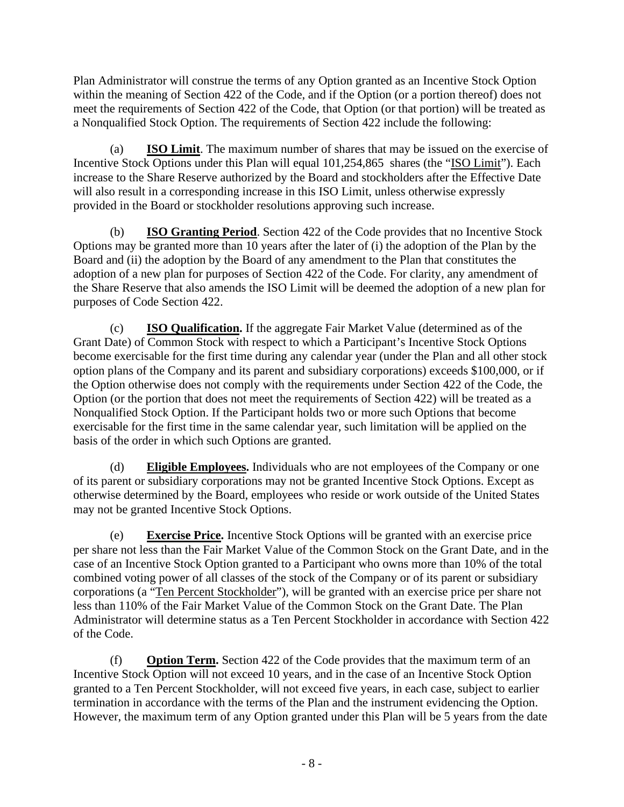Plan Administrator will construe the terms of any Option granted as an Incentive Stock Option within the meaning of Section 422 of the Code, and if the Option (or a portion thereof) does not meet the requirements of Section 422 of the Code, that Option (or that portion) will be treated as a Nonqualified Stock Option. The requirements of Section 422 include the following:

(a) **ISO Limit**. The maximum number of shares that may be issued on the exercise of Incentive Stock Options under this Plan will equal 101,254,865 shares (the "ISO Limit"). Each increase to the Share Reserve authorized by the Board and stockholders after the Effective Date will also result in a corresponding increase in this ISO Limit, unless otherwise expressly provided in the Board or stockholder resolutions approving such increase.

(b) **ISO Granting Period**. Section 422 of the Code provides that no Incentive Stock Options may be granted more than 10 years after the later of (i) the adoption of the Plan by the Board and (ii) the adoption by the Board of any amendment to the Plan that constitutes the adoption of a new plan for purposes of Section 422 of the Code. For clarity, any amendment of the Share Reserve that also amends the ISO Limit will be deemed the adoption of a new plan for purposes of Code Section 422.

(c) **ISO Qualification.** If the aggregate Fair Market Value (determined as of the Grant Date) of Common Stock with respect to which a Participant's Incentive Stock Options become exercisable for the first time during any calendar year (under the Plan and all other stock option plans of the Company and its parent and subsidiary corporations) exceeds \$100,000, or if the Option otherwise does not comply with the requirements under Section 422 of the Code, the Option (or the portion that does not meet the requirements of Section 422) will be treated as a Nonqualified Stock Option. If the Participant holds two or more such Options that become exercisable for the first time in the same calendar year, such limitation will be applied on the basis of the order in which such Options are granted.

(d) **Eligible Employees.** Individuals who are not employees of the Company or one of its parent or subsidiary corporations may not be granted Incentive Stock Options. Except as otherwise determined by the Board, employees who reside or work outside of the United States may not be granted Incentive Stock Options.

(e) **Exercise Price.** Incentive Stock Options will be granted with an exercise price per share not less than the Fair Market Value of the Common Stock on the Grant Date, and in the case of an Incentive Stock Option granted to a Participant who owns more than 10% of the total combined voting power of all classes of the stock of the Company or of its parent or subsidiary corporations (a "Ten Percent Stockholder"), will be granted with an exercise price per share not less than 110% of the Fair Market Value of the Common Stock on the Grant Date. The Plan Administrator will determine status as a Ten Percent Stockholder in accordance with Section 422 of the Code.

(f) **Option Term.** Section 422 of the Code provides that the maximum term of an Incentive Stock Option will not exceed 10 years, and in the case of an Incentive Stock Option granted to a Ten Percent Stockholder, will not exceed five years, in each case, subject to earlier termination in accordance with the terms of the Plan and the instrument evidencing the Option. However, the maximum term of any Option granted under this Plan will be 5 years from the date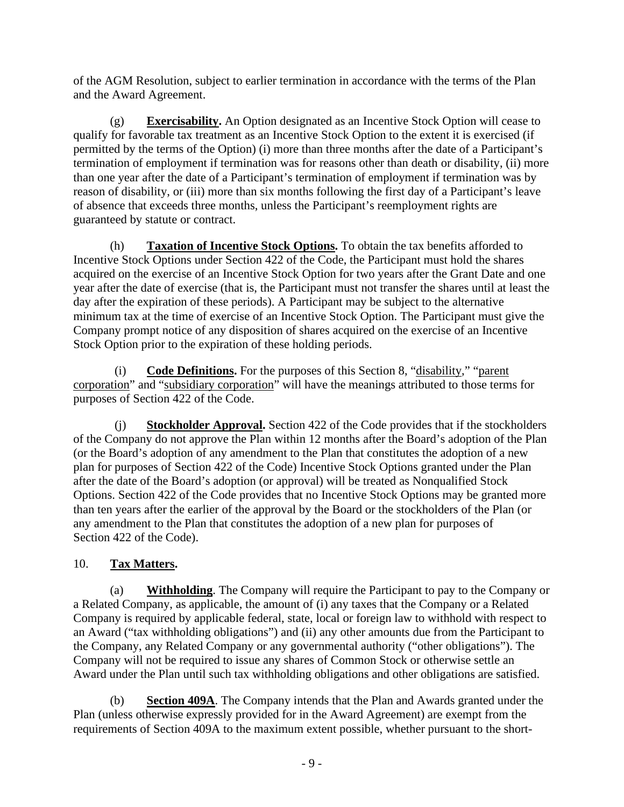of the AGM Resolution, subject to earlier termination in accordance with the terms of the Plan and the Award Agreement.

(g) **Exercisability.** An Option designated as an Incentive Stock Option will cease to qualify for favorable tax treatment as an Incentive Stock Option to the extent it is exercised (if permitted by the terms of the Option) (i) more than three months after the date of a Participant's termination of employment if termination was for reasons other than death or disability, (ii) more than one year after the date of a Participant's termination of employment if termination was by reason of disability, or (iii) more than six months following the first day of a Participant's leave of absence that exceeds three months, unless the Participant's reemployment rights are guaranteed by statute or contract.

(h) **Taxation of Incentive Stock Options.** To obtain the tax benefits afforded to Incentive Stock Options under Section 422 of the Code, the Participant must hold the shares acquired on the exercise of an Incentive Stock Option for two years after the Grant Date and one year after the date of exercise (that is, the Participant must not transfer the shares until at least the day after the expiration of these periods). A Participant may be subject to the alternative minimum tax at the time of exercise of an Incentive Stock Option. The Participant must give the Company prompt notice of any disposition of shares acquired on the exercise of an Incentive Stock Option prior to the expiration of these holding periods.

(i) **Code Definitions.** For the purposes of this Section [8,](#page-6-0) "disability," "parent corporation" and "subsidiary corporation" will have the meanings attributed to those terms for purposes of Section 422 of the Code.

**Stockholder Approval.** Section 422 of the Code provides that if the stockholders of the Company do not approve the Plan within 12 months after the Board's adoption of the Plan (or the Board's adoption of any amendment to the Plan that constitutes the adoption of a new plan for purposes of Section 422 of the Code) Incentive Stock Options granted under the Plan after the date of the Board's adoption (or approval) will be treated as Nonqualified Stock Options. Section 422 of the Code provides that no Incentive Stock Options may be granted more than ten years after the earlier of the approval by the Board or the stockholders of the Plan (or any amendment to the Plan that constitutes the adoption of a new plan for purposes of Section 422 of the Code).

# 10. **Tax Matters.**

(a) **Withholding**. The Company will require the Participant to pay to the Company or a Related Company, as applicable, the amount of (i) any taxes that the Company or a Related Company is required by applicable federal, state, local or foreign law to withhold with respect to an Award ("tax withholding obligations") and (ii) any other amounts due from the Participant to the Company, any Related Company or any governmental authority ("other obligations"). The Company will not be required to issue any shares of Common Stock or otherwise settle an Award under the Plan until such tax withholding obligations and other obligations are satisfied.

(b) **Section 409A**. The Company intends that the Plan and Awards granted under the Plan (unless otherwise expressly provided for in the Award Agreement) are exempt from the requirements of Section 409A to the maximum extent possible, whether pursuant to the short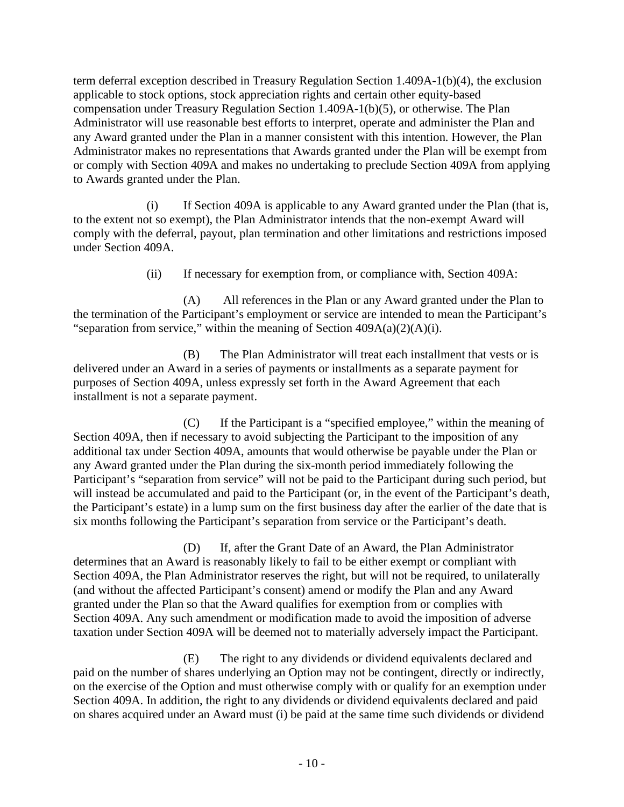term deferral exception described in Treasury Regulation Section 1.409A-1(b)(4), the exclusion applicable to stock options, stock appreciation rights and certain other equity-based compensation under Treasury Regulation Section 1.409A-1(b)(5), or otherwise. The Plan Administrator will use reasonable best efforts to interpret, operate and administer the Plan and any Award granted under the Plan in a manner consistent with this intention. However, the Plan Administrator makes no representations that Awards granted under the Plan will be exempt from or comply with Section 409A and makes no undertaking to preclude Section 409A from applying to Awards granted under the Plan.

(i) If Section 409A is applicable to any Award granted under the Plan (that is, to the extent not so exempt), the Plan Administrator intends that the non-exempt Award will comply with the deferral, payout, plan termination and other limitations and restrictions imposed under Section 409A.

(ii) If necessary for exemption from, or compliance with, Section 409A:

(A) All references in the Plan or any Award granted under the Plan to the termination of the Participant's employment or service are intended to mean the Participant's "separation from service," within the meaning of Section  $409A(a)(2)(A)(i)$ .

(B) The Plan Administrator will treat each installment that vests or is delivered under an Award in a series of payments or installments as a separate payment for purposes of Section 409A, unless expressly set forth in the Award Agreement that each installment is not a separate payment.

(C) If the Participant is a "specified employee," within the meaning of Section 409A, then if necessary to avoid subjecting the Participant to the imposition of any additional tax under Section 409A, amounts that would otherwise be payable under the Plan or any Award granted under the Plan during the six-month period immediately following the Participant's "separation from service" will not be paid to the Participant during such period, but will instead be accumulated and paid to the Participant (or, in the event of the Participant's death, the Participant's estate) in a lump sum on the first business day after the earlier of the date that is six months following the Participant's separation from service or the Participant's death.

(D) If, after the Grant Date of an Award, the Plan Administrator determines that an Award is reasonably likely to fail to be either exempt or compliant with Section 409A, the Plan Administrator reserves the right, but will not be required, to unilaterally (and without the affected Participant's consent) amend or modify the Plan and any Award granted under the Plan so that the Award qualifies for exemption from or complies with Section 409A. Any such amendment or modification made to avoid the imposition of adverse taxation under Section 409A will be deemed not to materially adversely impact the Participant.

(E) The right to any dividends or dividend equivalents declared and paid on the number of shares underlying an Option may not be contingent, directly or indirectly, on the exercise of the Option and must otherwise comply with or qualify for an exemption under Section 409A. In addition, the right to any dividends or dividend equivalents declared and paid on shares acquired under an Award must (i) be paid at the same time such dividends or dividend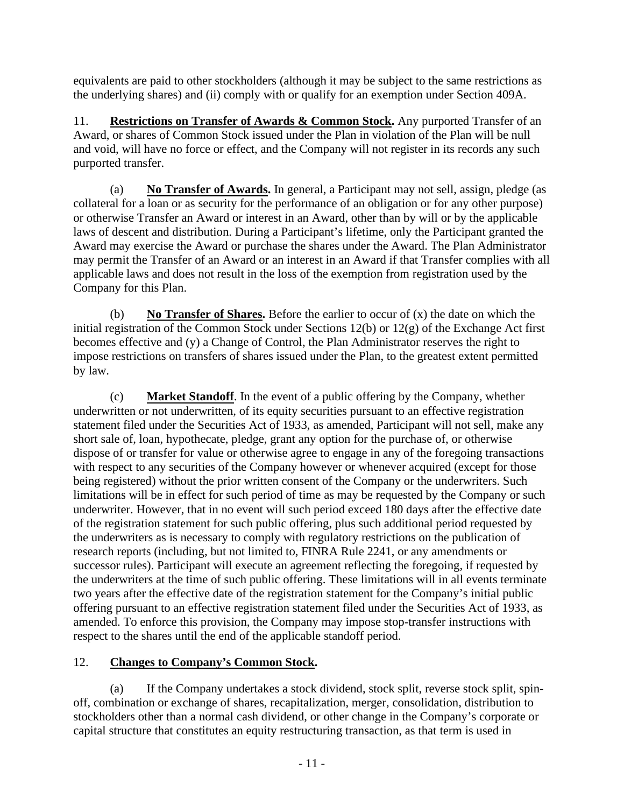equivalents are paid to other stockholders (although it may be subject to the same restrictions as the underlying shares) and (ii) comply with or qualify for an exemption under Section 409A.

11. **Restrictions on Transfer of Awards & Common Stock.** Any purported Transfer of an Award, or shares of Common Stock issued under the Plan in violation of the Plan will be null and void, will have no force or effect, and the Company will not register in its records any such purported transfer.

(a) **No Transfer of Awards.** In general, a Participant may not sell, assign, pledge (as collateral for a loan or as security for the performance of an obligation or for any other purpose) or otherwise Transfer an Award or interest in an Award, other than by will or by the applicable laws of descent and distribution. During a Participant's lifetime, only the Participant granted the Award may exercise the Award or purchase the shares under the Award. The Plan Administrator may permit the Transfer of an Award or an interest in an Award if that Transfer complies with all applicable laws and does not result in the loss of the exemption from registration used by the Company for this Plan.

(b) **No Transfer of Shares.** Before the earlier to occur of (x) the date on which the initial registration of the Common Stock under Sections 12(b) or 12(g) of the Exchange Act first becomes effective and (y) a Change of Control, the Plan Administrator reserves the right to impose restrictions on transfers of shares issued under the Plan, to the greatest extent permitted by law.

(c) **Market Standoff**. In the event of a public offering by the Company, whether underwritten or not underwritten, of its equity securities pursuant to an effective registration statement filed under the Securities Act of 1933, as amended, Participant will not sell, make any short sale of, loan, hypothecate, pledge, grant any option for the purchase of, or otherwise dispose of or transfer for value or otherwise agree to engage in any of the foregoing transactions with respect to any securities of the Company however or whenever acquired (except for those being registered) without the prior written consent of the Company or the underwriters. Such limitations will be in effect for such period of time as may be requested by the Company or such underwriter. However, that in no event will such period exceed 180 days after the effective date of the registration statement for such public offering, plus such additional period requested by the underwriters as is necessary to comply with regulatory restrictions on the publication of research reports (including, but not limited to, FINRA Rule 2241, or any amendments or successor rules). Participant will execute an agreement reflecting the foregoing, if requested by the underwriters at the time of such public offering. These limitations will in all events terminate two years after the effective date of the registration statement for the Company's initial public offering pursuant to an effective registration statement filed under the Securities Act of 1933, as amended. To enforce this provision, the Company may impose stop-transfer instructions with respect to the shares until the end of the applicable standoff period.

# 12. **Changes to Company's Common Stock.**

(a) If the Company undertakes a stock dividend, stock split, reverse stock split, spinoff, combination or exchange of shares, recapitalization, merger, consolidation, distribution to stockholders other than a normal cash dividend, or other change in the Company's corporate or capital structure that constitutes an equity restructuring transaction, as that term is used in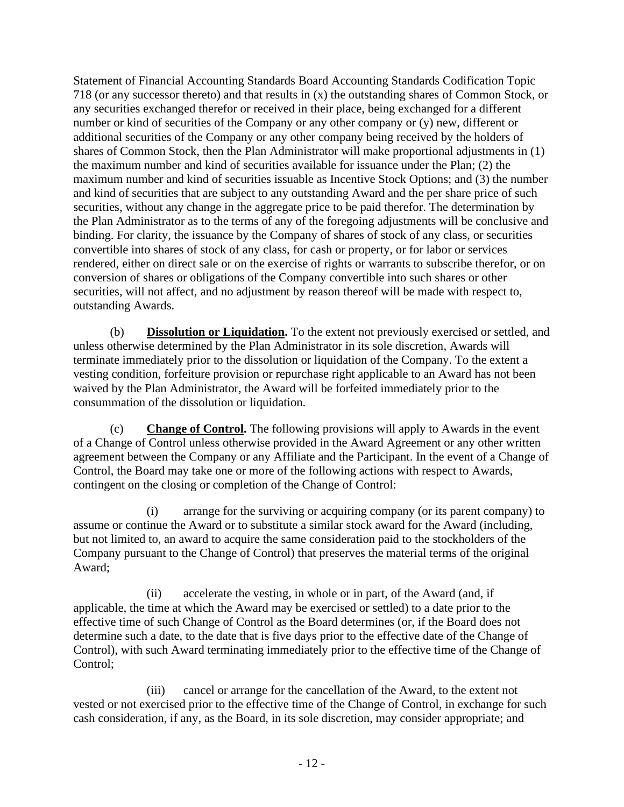Statement of Financial Accounting Standards Board Accounting Standards Codification Topic 718 (or any successor thereto) and that results in (x) the outstanding shares of Common Stock, or any securities exchanged therefor or received in their place, being exchanged for a different number or kind of securities of the Company or any other company or (y) new, different or additional securities of the Company or any other company being received by the holders of shares of Common Stock, then the Plan Administrator will make proportional adjustments in (1) the maximum number and kind of securities available for issuance under the Plan; (2) the maximum number and kind of securities issuable as Incentive Stock Options; and (3) the number and kind of securities that are subject to any outstanding Award and the per share price of such securities, without any change in the aggregate price to be paid therefor. The determination by the Plan Administrator as to the terms of any of the foregoing adjustments will be conclusive and binding. For clarity, the issuance by the Company of shares of stock of any class, or securities convertible into shares of stock of any class, for cash or property, or for labor or services rendered, either on direct sale or on the exercise of rights or warrants to subscribe therefor, or on conversion of shares or obligations of the Company convertible into such shares or other securities, will not affect, and no adjustment by reason thereof will be made with respect to, outstanding Awards.

(b) **Dissolution or Liquidation.** To the extent not previously exercised or settled, and unless otherwise determined by the Plan Administrator in its sole discretion, Awards will terminate immediately prior to the dissolution or liquidation of the Company. To the extent a vesting condition, forfeiture provision or repurchase right applicable to an Award has not been waived by the Plan Administrator, the Award will be forfeited immediately prior to the consummation of the dissolution or liquidation.

(c) **Change of Control.** The following provisions will apply to Awards in the event of a Change of Control unless otherwise provided in the Award Agreement or any other written agreement between the Company or any Affiliate and the Participant. In the event of a Change of Control, the Board may take one or more of the following actions with respect to Awards, contingent on the closing or completion of the Change of Control:

(i) arrange for the surviving or acquiring company (or its parent company) to assume or continue the Award or to substitute a similar stock award for the Award (including, but not limited to, an award to acquire the same consideration paid to the stockholders of the Company pursuant to the Change of Control) that preserves the material terms of the original Award;

(ii) accelerate the vesting, in whole or in part, of the Award (and, if applicable, the time at which the Award may be exercised or settled) to a date prior to the effective time of such Change of Control as the Board determines (or, if the Board does not determine such a date, to the date that is five days prior to the effective date of the Change of Control), with such Award terminating immediately prior to the effective time of the Change of Control;

(iii) cancel or arrange for the cancellation of the Award, to the extent not vested or not exercised prior to the effective time of the Change of Control, in exchange for such cash consideration, if any, as the Board, in its sole discretion, may consider appropriate; and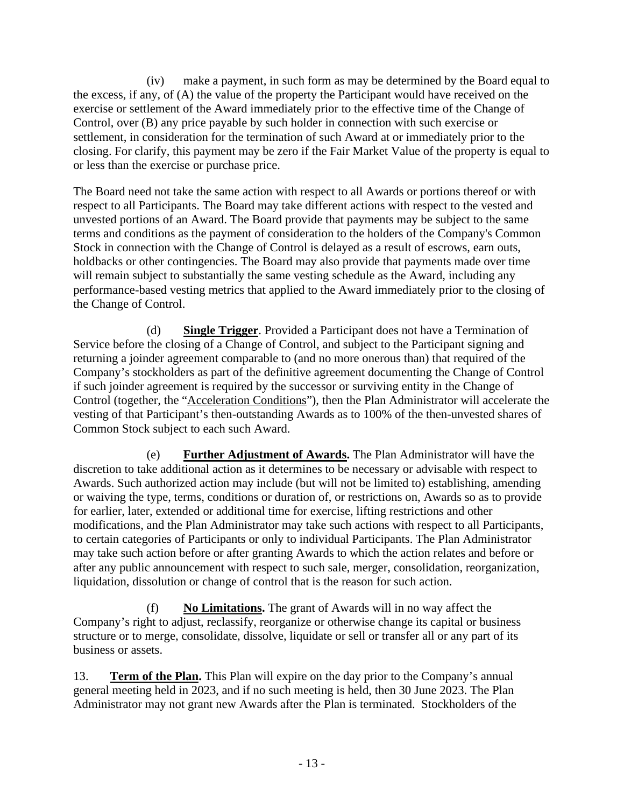(iv) make a payment, in such form as may be determined by the Board equal to the excess, if any, of (A) the value of the property the Participant would have received on the exercise or settlement of the Award immediately prior to the effective time of the Change of Control, over (B) any price payable by such holder in connection with such exercise or settlement, in consideration for the termination of such Award at or immediately prior to the closing. For clarify, this payment may be zero if the Fair Market Value of the property is equal to or less than the exercise or purchase price.

The Board need not take the same action with respect to all Awards or portions thereof or with respect to all Participants. The Board may take different actions with respect to the vested and unvested portions of an Award. The Board provide that payments may be subject to the same terms and conditions as the payment of consideration to the holders of the Company's Common Stock in connection with the Change of Control is delayed as a result of escrows, earn outs, holdbacks or other contingencies. The Board may also provide that payments made over time will remain subject to substantially the same vesting schedule as the Award, including any performance-based vesting metrics that applied to the Award immediately prior to the closing of the Change of Control.

(d) **Single Trigger**. Provided a Participant does not have a Termination of Service before the closing of a Change of Control, and subject to the Participant signing and returning a joinder agreement comparable to (and no more onerous than) that required of the Company's stockholders as part of the definitive agreement documenting the Change of Control if such joinder agreement is required by the successor or surviving entity in the Change of Control (together, the "Acceleration Conditions"), then the Plan Administrator will accelerate the vesting of that Participant's then-outstanding Awards as to 100% of the then-unvested shares of Common Stock subject to each such Award.

(e) **Further Adjustment of Awards.** The Plan Administrator will have the discretion to take additional action as it determines to be necessary or advisable with respect to Awards. Such authorized action may include (but will not be limited to) establishing, amending or waiving the type, terms, conditions or duration of, or restrictions on, Awards so as to provide for earlier, later, extended or additional time for exercise, lifting restrictions and other modifications, and the Plan Administrator may take such actions with respect to all Participants, to certain categories of Participants or only to individual Participants. The Plan Administrator may take such action before or after granting Awards to which the action relates and before or after any public announcement with respect to such sale, merger, consolidation, reorganization, liquidation, dissolution or change of control that is the reason for such action.

(f) **No Limitations.** The grant of Awards will in no way affect the Company's right to adjust, reclassify, reorganize or otherwise change its capital or business structure or to merge, consolidate, dissolve, liquidate or sell or transfer all or any part of its business or assets.

13. **Term of the Plan.** This Plan will expire on the day prior to the Company's annual general meeting held in 2023, and if no such meeting is held, then 30 June 2023. The Plan Administrator may not grant new Awards after the Plan is terminated. Stockholders of the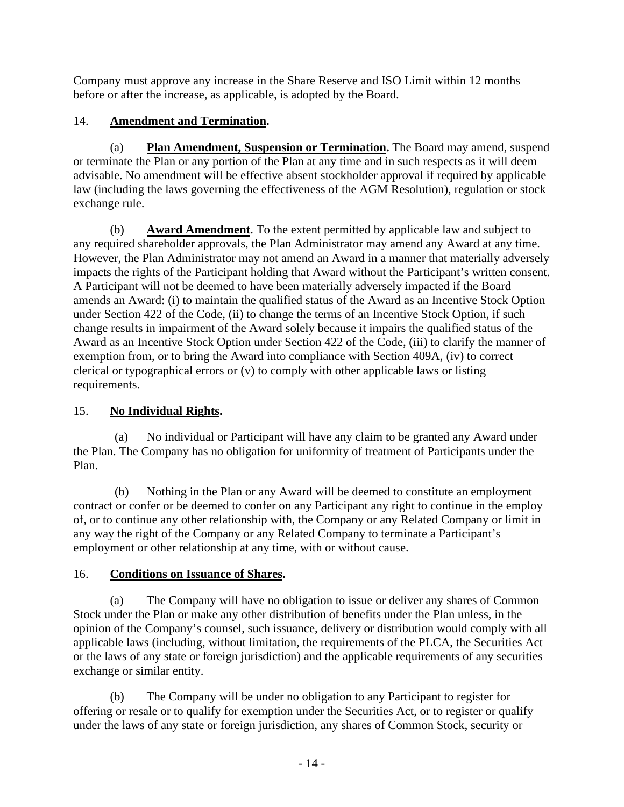Company must approve any increase in the Share Reserve and ISO Limit within 12 months before or after the increase, as applicable, is adopted by the Board.

### 14. **Amendment and Termination.**

(a) **Plan Amendment, Suspension or Termination.** The Board may amend, suspend or terminate the Plan or any portion of the Plan at any time and in such respects as it will deem advisable. No amendment will be effective absent stockholder approval if required by applicable law (including the laws governing the effectiveness of the AGM Resolution), regulation or stock exchange rule.

(b) **Award Amendment**. To the extent permitted by applicable law and subject to any required shareholder approvals, the Plan Administrator may amend any Award at any time. However, the Plan Administrator may not amend an Award in a manner that materially adversely impacts the rights of the Participant holding that Award without the Participant's written consent. A Participant will not be deemed to have been materially adversely impacted if the Board amends an Award: (i) to maintain the qualified status of the Award as an Incentive Stock Option under Section 422 of the Code, (ii) to change the terms of an Incentive Stock Option, if such change results in impairment of the Award solely because it impairs the qualified status of the Award as an Incentive Stock Option under Section 422 of the Code, (iii) to clarify the manner of exemption from, or to bring the Award into compliance with Section 409A, (iv) to correct clerical or typographical errors or (v) to comply with other applicable laws or listing requirements.

# 15. **No Individual Rights.**

(a) No individual or Participant will have any claim to be granted any Award under the Plan. The Company has no obligation for uniformity of treatment of Participants under the Plan.

(b) Nothing in the Plan or any Award will be deemed to constitute an employment contract or confer or be deemed to confer on any Participant any right to continue in the employ of, or to continue any other relationship with, the Company or any Related Company or limit in any way the right of the Company or any Related Company to terminate a Participant's employment or other relationship at any time, with or without cause.

# 16. **Conditions on Issuance of Shares.**

(a) The Company will have no obligation to issue or deliver any shares of Common Stock under the Plan or make any other distribution of benefits under the Plan unless, in the opinion of the Company's counsel, such issuance, delivery or distribution would comply with all applicable laws (including, without limitation, the requirements of the PLCA, the Securities Act or the laws of any state or foreign jurisdiction) and the applicable requirements of any securities exchange or similar entity.

(b) The Company will be under no obligation to any Participant to register for offering or resale or to qualify for exemption under the Securities Act, or to register or qualify under the laws of any state or foreign jurisdiction, any shares of Common Stock, security or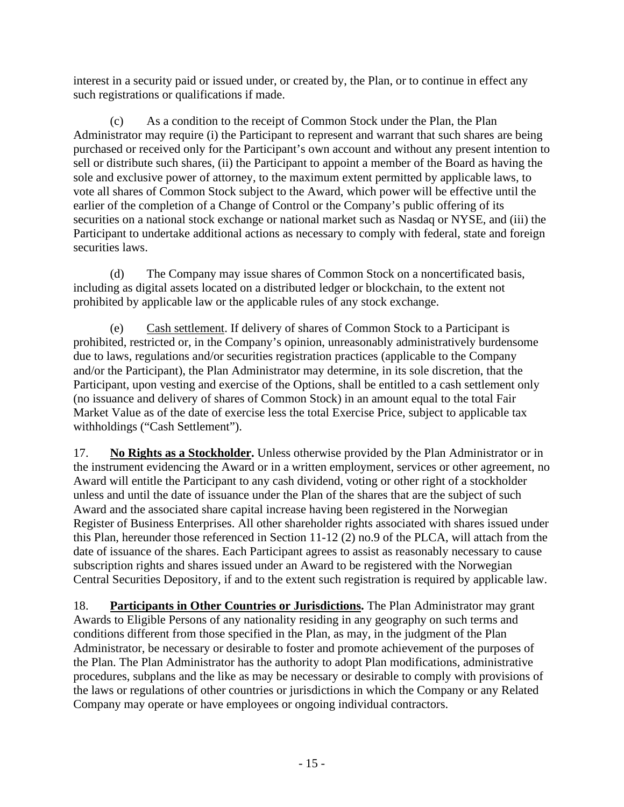interest in a security paid or issued under, or created by, the Plan, or to continue in effect any such registrations or qualifications if made.

(c) As a condition to the receipt of Common Stock under the Plan, the Plan Administrator may require (i) the Participant to represent and warrant that such shares are being purchased or received only for the Participant's own account and without any present intention to sell or distribute such shares, (ii) the Participant to appoint a member of the Board as having the sole and exclusive power of attorney, to the maximum extent permitted by applicable laws, to vote all shares of Common Stock subject to the Award, which power will be effective until the earlier of the completion of a Change of Control or the Company's public offering of its securities on a national stock exchange or national market such as Nasdaq or NYSE, and (iii) the Participant to undertake additional actions as necessary to comply with federal, state and foreign securities laws.

(d) The Company may issue shares of Common Stock on a noncertificated basis, including as digital assets located on a distributed ledger or blockchain, to the extent not prohibited by applicable law or the applicable rules of any stock exchange.

(e) Cash settlement. If delivery of shares of Common Stock to a Participant is prohibited, restricted or, in the Company's opinion, unreasonably administratively burdensome due to laws, regulations and/or securities registration practices (applicable to the Company and/or the Participant), the Plan Administrator may determine, in its sole discretion, that the Participant, upon vesting and exercise of the Options, shall be entitled to a cash settlement only (no issuance and delivery of shares of Common Stock) in an amount equal to the total Fair Market Value as of the date of exercise less the total Exercise Price, subject to applicable tax withholdings ("Cash Settlement").

17. **No Rights as a Stockholder.** Unless otherwise provided by the Plan Administrator or in the instrument evidencing the Award or in a written employment, services or other agreement, no Award will entitle the Participant to any cash dividend, voting or other right of a stockholder unless and until the date of issuance under the Plan of the shares that are the subject of such Award and the associated share capital increase having been registered in the Norwegian Register of Business Enterprises. All other shareholder rights associated with shares issued under this Plan, hereunder those referenced in Section 11-12 (2) no.9 of the PLCA, will attach from the date of issuance of the shares. Each Participant agrees to assist as reasonably necessary to cause subscription rights and shares issued under an Award to be registered with the Norwegian Central Securities Depository, if and to the extent such registration is required by applicable law.

18. **Participants in Other Countries or Jurisdictions.** The Plan Administrator may grant Awards to Eligible Persons of any nationality residing in any geography on such terms and conditions different from those specified in the Plan, as may, in the judgment of the Plan Administrator, be necessary or desirable to foster and promote achievement of the purposes of the Plan. The Plan Administrator has the authority to adopt Plan modifications, administrative procedures, subplans and the like as may be necessary or desirable to comply with provisions of the laws or regulations of other countries or jurisdictions in which the Company or any Related Company may operate or have employees or ongoing individual contractors.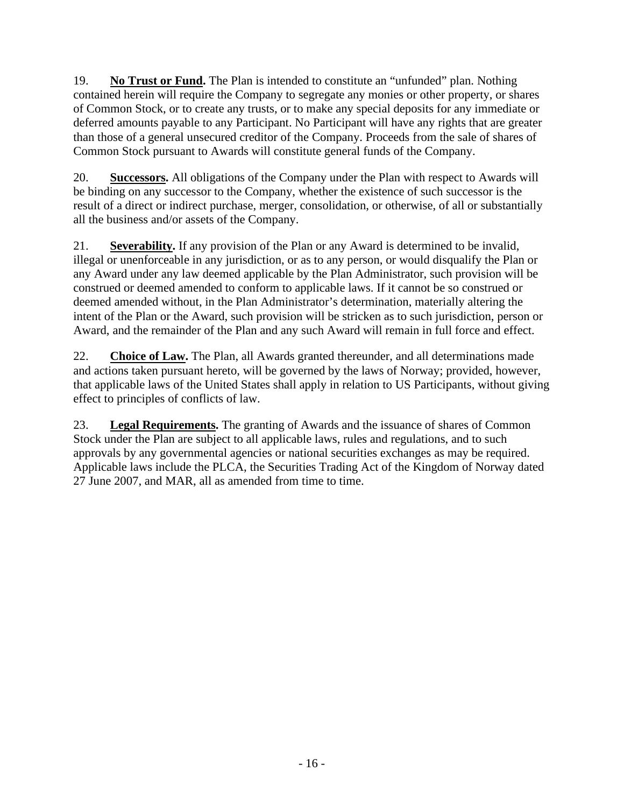19. **No Trust or Fund.** The Plan is intended to constitute an "unfunded" plan. Nothing contained herein will require the Company to segregate any monies or other property, or shares of Common Stock, or to create any trusts, or to make any special deposits for any immediate or deferred amounts payable to any Participant. No Participant will have any rights that are greater than those of a general unsecured creditor of the Company. Proceeds from the sale of shares of Common Stock pursuant to Awards will constitute general funds of the Company.

20. **Successors.** All obligations of the Company under the Plan with respect to Awards will be binding on any successor to the Company, whether the existence of such successor is the result of a direct or indirect purchase, merger, consolidation, or otherwise, of all or substantially all the business and/or assets of the Company.

21. **Severability.** If any provision of the Plan or any Award is determined to be invalid, illegal or unenforceable in any jurisdiction, or as to any person, or would disqualify the Plan or any Award under any law deemed applicable by the Plan Administrator, such provision will be construed or deemed amended to conform to applicable laws. If it cannot be so construed or deemed amended without, in the Plan Administrator's determination, materially altering the intent of the Plan or the Award, such provision will be stricken as to such jurisdiction, person or Award, and the remainder of the Plan and any such Award will remain in full force and effect.

22. **Choice of Law.** The Plan, all Awards granted thereunder, and all determinations made and actions taken pursuant hereto, will be governed by the laws of Norway; provided, however, that applicable laws of the United States shall apply in relation to US Participants, without giving effect to principles of conflicts of law.

23. **Legal Requirements.** The granting of Awards and the issuance of shares of Common Stock under the Plan are subject to all applicable laws, rules and regulations, and to such approvals by any governmental agencies or national securities exchanges as may be required. Applicable laws include the PLCA, the Securities Trading Act of the Kingdom of Norway dated 27 June 2007, and MAR, all as amended from time to time.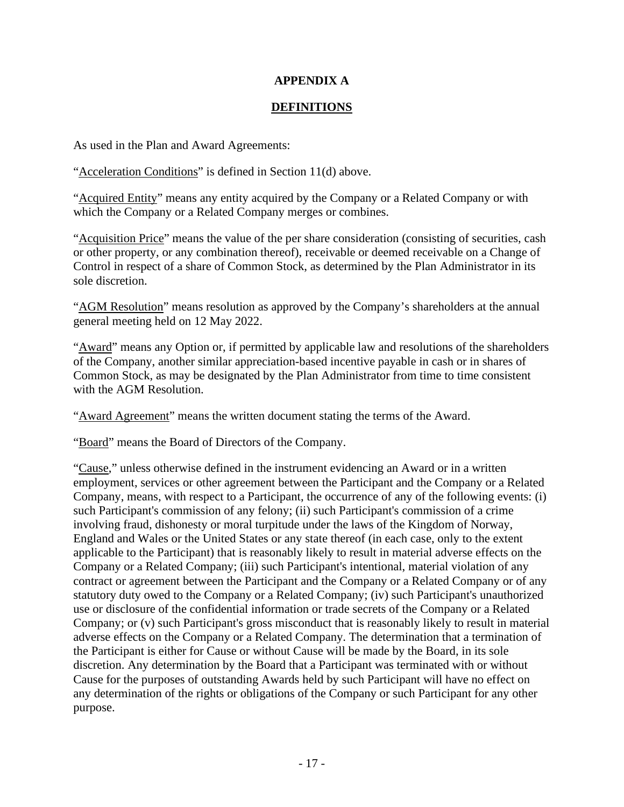### **APPENDIX A**

### **DEFINITIONS**

As used in the Plan and Award Agreements:

"Acceleration Conditions" is defined in Section 11(d) above.

"Acquired Entity" means any entity acquired by the Company or a Related Company or with which the Company or a Related Company merges or combines.

"Acquisition Price" means the value of the per share consideration (consisting of securities, cash or other property, or any combination thereof), receivable or deemed receivable on a Change of Control in respect of a share of Common Stock, as determined by the Plan Administrator in its sole discretion.

"AGM Resolution" means resolution as approved by the Company's shareholders at the annual general meeting held on 12 May 2022.

"Award" means any Option or, if permitted by applicable law and resolutions of the shareholders of the Company, another similar appreciation-based incentive payable in cash or in shares of Common Stock, as may be designated by the Plan Administrator from time to time consistent with the AGM Resolution.

"Award Agreement" means the written document stating the terms of the Award.

"Board" means the Board of Directors of the Company.

"Cause," unless otherwise defined in the instrument evidencing an Award or in a written employment, services or other agreement between the Participant and the Company or a Related Company, means, with respect to a Participant, the occurrence of any of the following events: (i) such Participant's commission of any felony; (ii) such Participant's commission of a crime involving fraud, dishonesty or moral turpitude under the laws of the Kingdom of Norway, England and Wales or the United States or any state thereof (in each case, only to the extent applicable to the Participant) that is reasonably likely to result in material adverse effects on the Company or a Related Company; (iii) such Participant's intentional, material violation of any contract or agreement between the Participant and the Company or a Related Company or of any statutory duty owed to the Company or a Related Company; (iv) such Participant's unauthorized use or disclosure of the confidential information or trade secrets of the Company or a Related Company; or (v) such Participant's gross misconduct that is reasonably likely to result in material adverse effects on the Company or a Related Company. The determination that a termination of the Participant is either for Cause or without Cause will be made by the Board, in its sole discretion. Any determination by the Board that a Participant was terminated with or without Cause for the purposes of outstanding Awards held by such Participant will have no effect on any determination of the rights or obligations of the Company or such Participant for any other purpose.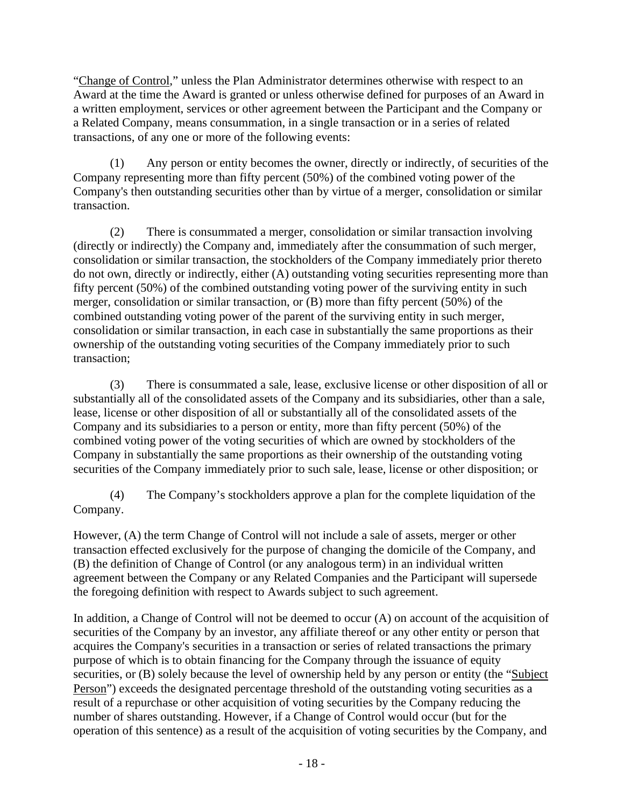"Change of Control," unless the Plan Administrator determines otherwise with respect to an Award at the time the Award is granted or unless otherwise defined for purposes of an Award in a written employment, services or other agreement between the Participant and the Company or a Related Company, means consummation, in a single transaction or in a series of related transactions, of any one or more of the following events:

(1) Any person or entity becomes the owner, directly or indirectly, of securities of the Company representing more than fifty percent (50%) of the combined voting power of the Company's then outstanding securities other than by virtue of a merger, consolidation or similar transaction.

(2) There is consummated a merger, consolidation or similar transaction involving (directly or indirectly) the Company and, immediately after the consummation of such merger, consolidation or similar transaction, the stockholders of the Company immediately prior thereto do not own, directly or indirectly, either (A) outstanding voting securities representing more than fifty percent (50%) of the combined outstanding voting power of the surviving entity in such merger, consolidation or similar transaction, or (B) more than fifty percent (50%) of the combined outstanding voting power of the parent of the surviving entity in such merger, consolidation or similar transaction, in each case in substantially the same proportions as their ownership of the outstanding voting securities of the Company immediately prior to such transaction;

(3) There is consummated a sale, lease, exclusive license or other disposition of all or substantially all of the consolidated assets of the Company and its subsidiaries, other than a sale, lease, license or other disposition of all or substantially all of the consolidated assets of the Company and its subsidiaries to a person or entity, more than fifty percent (50%) of the combined voting power of the voting securities of which are owned by stockholders of the Company in substantially the same proportions as their ownership of the outstanding voting securities of the Company immediately prior to such sale, lease, license or other disposition; or

(4) The Company's stockholders approve a plan for the complete liquidation of the Company.

However, (A) the term Change of Control will not include a sale of assets, merger or other transaction effected exclusively for the purpose of changing the domicile of the Company, and (B) the definition of Change of Control (or any analogous term) in an individual written agreement between the Company or any Related Companies and the Participant will supersede the foregoing definition with respect to Awards subject to such agreement.

In addition, a Change of Control will not be deemed to occur (A) on account of the acquisition of securities of the Company by an investor, any affiliate thereof or any other entity or person that acquires the Company's securities in a transaction or series of related transactions the primary purpose of which is to obtain financing for the Company through the issuance of equity securities, or (B) solely because the level of ownership held by any person or entity (the "Subject Person") exceeds the designated percentage threshold of the outstanding voting securities as a result of a repurchase or other acquisition of voting securities by the Company reducing the number of shares outstanding. However, if a Change of Control would occur (but for the operation of this sentence) as a result of the acquisition of voting securities by the Company, and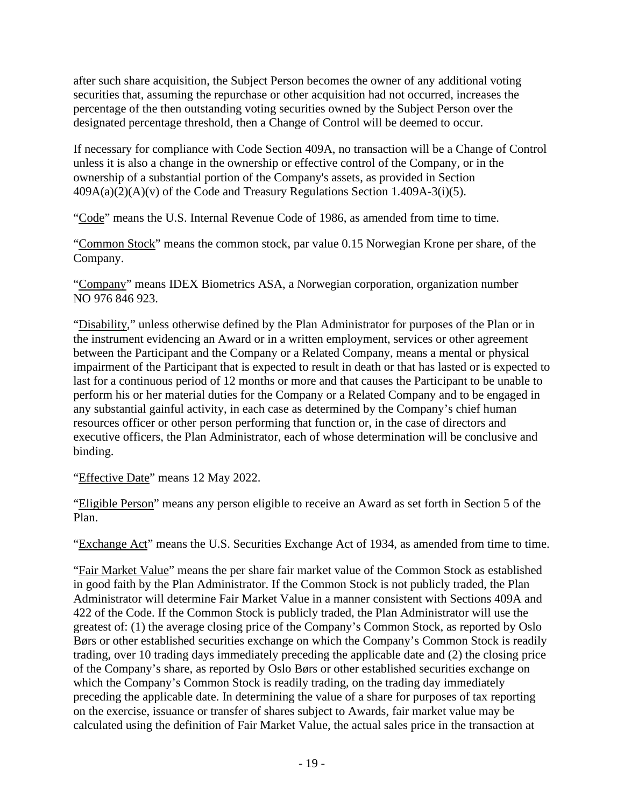after such share acquisition, the Subject Person becomes the owner of any additional voting securities that, assuming the repurchase or other acquisition had not occurred, increases the percentage of the then outstanding voting securities owned by the Subject Person over the designated percentage threshold, then a Change of Control will be deemed to occur.

If necessary for compliance with Code Section 409A, no transaction will be a Change of Control unless it is also a change in the ownership or effective control of the Company, or in the ownership of a substantial portion of the Company's assets, as provided in Section  $409A(a)(2)(A)(v)$  of the Code and Treasury Regulations Section 1.409A-3(i)(5).

"Code" means the U.S. Internal Revenue Code of 1986, as amended from time to time.

"Common Stock" means the common stock, par value 0.15 Norwegian Krone per share, of the Company.

"Company" means IDEX Biometrics ASA, a Norwegian corporation, organization number NO 976 846 923.

"Disability," unless otherwise defined by the Plan Administrator for purposes of the Plan or in the instrument evidencing an Award or in a written employment, services or other agreement between the Participant and the Company or a Related Company, means a mental or physical impairment of the Participant that is expected to result in death or that has lasted or is expected to last for a continuous period of 12 months or more and that causes the Participant to be unable to perform his or her material duties for the Company or a Related Company and to be engaged in any substantial gainful activity, in each case as determined by the Company's chief human resources officer or other person performing that function or, in the case of directors and executive officers, the Plan Administrator, each of whose determination will be conclusive and binding.

"Effective Date" means 12 May 2022.

"Eligible Person" means any person eligible to receive an Award as set forth in Section [5](#page-2-0) of the Plan.

"Exchange Act" means the U.S. Securities Exchange Act of 1934, as amended from time to time.

"Fair Market Value" means the per share fair market value of the Common Stock as established in good faith by the Plan Administrator. If the Common Stock is not publicly traded, the Plan Administrator will determine Fair Market Value in a manner consistent with Sections 409A and 422 of the Code. If the Common Stock is publicly traded, the Plan Administrator will use the greatest of: (1) the average closing price of the Company's Common Stock, as reported by Oslo Børs or other established securities exchange on which the Company's Common Stock is readily trading, over 10 trading days immediately preceding the applicable date and (2) the closing price of the Company's share, as reported by Oslo Børs or other established securities exchange on which the Company's Common Stock is readily trading, on the trading day immediately preceding the applicable date. In determining the value of a share for purposes of tax reporting on the exercise, issuance or transfer of shares subject to Awards, fair market value may be calculated using the definition of Fair Market Value, the actual sales price in the transaction at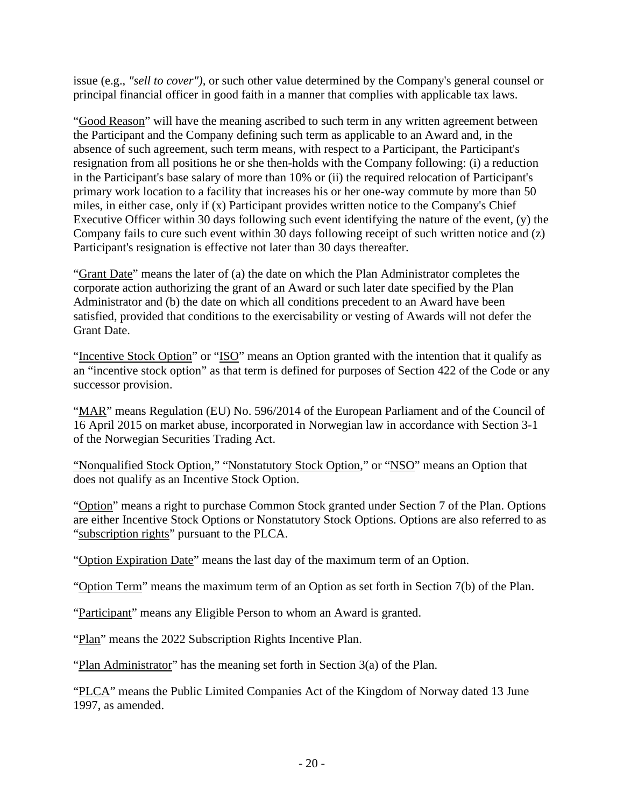issue (e.g., *"sell to cover"),* or such other value determined by the Company's general counsel or principal financial officer in good faith in a manner that complies with applicable tax laws.

"Good Reason" will have the meaning ascribed to such term in any written agreement between the Participant and the Company defining such term as applicable to an Award and, in the absence of such agreement, such term means, with respect to a Participant, the Participant's resignation from all positions he or she then-holds with the Company following: (i) a reduction in the Participant's base salary of more than 10% or (ii) the required relocation of Participant's primary work location to a facility that increases his or her one-way commute by more than 50 miles, in either case, only if (x) Participant provides written notice to the Company's Chief Executive Officer within 30 days following such event identifying the nature of the event, (y) the Company fails to cure such event within 30 days following receipt of such written notice and (z) Participant's resignation is effective not later than 30 days thereafter.

"Grant Date" means the later of (a) the date on which the Plan Administrator completes the corporate action authorizing the grant of an Award or such later date specified by the Plan Administrator and (b) the date on which all conditions precedent to an Award have been satisfied, provided that conditions to the exercisability or vesting of Awards will not defer the Grant Date.

"Incentive Stock Option" or "ISO" means an Option granted with the intention that it qualify as an "incentive stock option" as that term is defined for purposes of Section 422 of the Code or any successor provision.

"MAR" means Regulation (EU) No. 596/2014 of the European Parliament and of the Council of 16 April 2015 on market abuse, incorporated in Norwegian law in accordance with Section 3-1 of the Norwegian Securities Trading Act.

"Nonqualified Stock Option," "Nonstatutory Stock Option," or "NSO" means an Option that does not qualify as an Incentive Stock Option.

"Option" means a right to purchase Common Stock granted under Section [7](#page-4-0) of the Plan. Options are either Incentive Stock Options or Nonstatutory Stock Options. Options are also referred to as "subscription rights" pursuant to the PLCA.

"Option Expiration Date" means the last day of the maximum term of an Option.

"Option Term" means the maximum term of an Option as set forth in Section [7\(b\)](#page-4-1) of the Plan.

"Participant" means any Eligible Person to whom an Award is granted.

"Plan" means the 2022 Subscription Rights Incentive Plan.

"Plan Administrator" has the meaning set forth in Section [3\(a\)](#page-0-0) of the Plan.

"PLCA" means the Public Limited Companies Act of the Kingdom of Norway dated 13 June 1997, as amended.